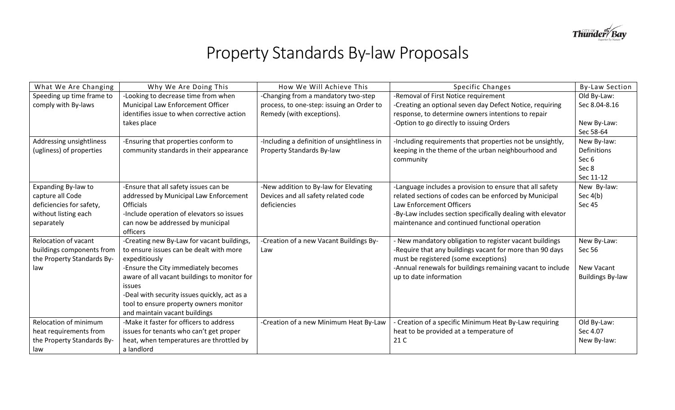

## Property Standards By-law Proposals

| What We Are Changing        | Why We Are Doing This                        | How We Will Achieve This                    | Specific Changes                                            | <b>By-Law Section</b>   |
|-----------------------------|----------------------------------------------|---------------------------------------------|-------------------------------------------------------------|-------------------------|
| Speeding up time frame to   | -Looking to decrease time from when          | -Changing from a mandatory two-step         | -Removal of First Notice requirement                        | Old By-Law:             |
| comply with By-laws         | Municipal Law Enforcement Officer            | process, to one-step: issuing an Order to   | -Creating an optional seven day Defect Notice, requiring    | Sec 8.04-8.16           |
|                             | identifies issue to when corrective action   | Remedy (with exceptions).                   | response, to determine owners intentions to repair          |                         |
|                             | takes place                                  |                                             | -Option to go directly to issuing Orders                    | New By-Law:             |
|                             |                                              |                                             |                                                             | Sec 58-64               |
| Addressing unsightliness    | -Ensuring that properties conform to         | -Including a definition of unsightliness in | -Including requirements that properties not be unsightly,   | New By-law:             |
| (ugliness) of properties    | community standards in their appearance      | Property Standards By-law                   | keeping in the theme of the urban neighbourhood and         | Definitions             |
|                             |                                              |                                             | community                                                   | Sec 6                   |
|                             |                                              |                                             |                                                             | Sec 8                   |
|                             |                                              |                                             |                                                             | Sec 11-12               |
| Expanding By-law to         | -Ensure that all safety issues can be        | -New addition to By-law for Elevating       | -Language includes a provision to ensure that all safety    | New By-law:             |
| capture all Code            | addressed by Municipal Law Enforcement       | Devices and all safety related code         | related sections of codes can be enforced by Municipal      | Sec $4(b)$              |
| deficiencies for safety,    | <b>Officials</b>                             | deficiencies                                | Law Enforcement Officers                                    | <b>Sec 45</b>           |
| without listing each        | -Include operation of elevators so issues    |                                             | -By-Law includes section specifically dealing with elevator |                         |
| separately                  | can now be addressed by municipal            |                                             | maintenance and continued functional operation              |                         |
|                             | officers                                     |                                             |                                                             |                         |
| <b>Relocation of vacant</b> | -Creating new By-Law for vacant buildings,   | -Creation of a new Vacant Buildings By-     | New mandatory obligation to register vacant buildings       | New By-Law:             |
| buildings components from   | to ensure issues can be dealt with more      | Law                                         | -Require that any buildings vacant for more than 90 days    | Sec 56                  |
| the Property Standards By-  | expeditiously                                |                                             | must be registered (some exceptions)                        |                         |
| law                         | -Ensure the City immediately becomes         |                                             | -Annual renewals for buildings remaining vacant to include  | New Vacant              |
|                             | aware of all vacant buildings to monitor for |                                             | up to date information                                      | <b>Buildings By-law</b> |
|                             | issues                                       |                                             |                                                             |                         |
|                             | -Deal with security issues quickly, act as a |                                             |                                                             |                         |
|                             | tool to ensure property owners monitor       |                                             |                                                             |                         |
|                             | and maintain vacant buildings                |                                             |                                                             |                         |
| Relocation of minimum       | -Make it faster for officers to address      | -Creation of a new Minimum Heat By-Law      | - Creation of a specific Minimum Heat By-Law requiring      | Old By-Law:             |
| heat requirements from      | issues for tenants who can't get proper      |                                             | heat to be provided at a temperature of                     | Sec 4.07                |
| the Property Standards By-  | heat, when temperatures are throttled by     |                                             | 21 C                                                        | New By-law:             |
| law                         | a landlord                                   |                                             |                                                             |                         |